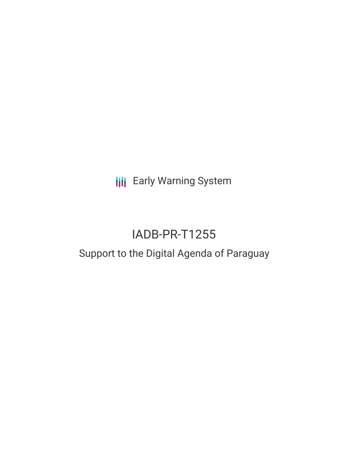**III** Early Warning System

# IADB-PR-T1255

## Support to the Digital Agenda of Paraguay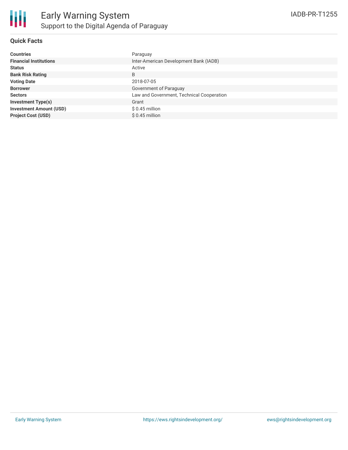#### **Quick Facts**

| <b>Countries</b>               | Paraguay                                  |
|--------------------------------|-------------------------------------------|
| <b>Financial Institutions</b>  | Inter-American Development Bank (IADB)    |
| <b>Status</b>                  | Active                                    |
| <b>Bank Risk Rating</b>        | B                                         |
| <b>Voting Date</b>             | 2018-07-05                                |
| <b>Borrower</b>                | Government of Paraguay                    |
| <b>Sectors</b>                 | Law and Government, Technical Cooperation |
| <b>Investment Type(s)</b>      | Grant                                     |
| <b>Investment Amount (USD)</b> | $$0.45$ million                           |
| <b>Project Cost (USD)</b>      | $$0.45$ million                           |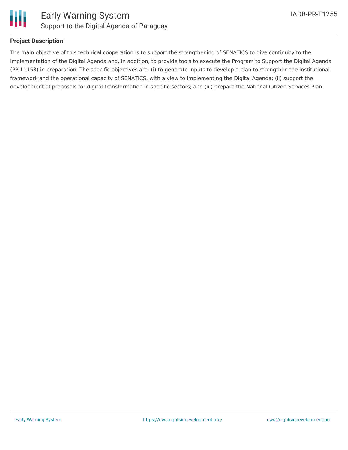

### **Project Description**

The main objective of this technical cooperation is to support the strengthening of SENATICS to give continuity to the implementation of the Digital Agenda and, in addition, to provide tools to execute the Program to Support the Digital Agenda (PR-L1153) in preparation. The specific objectives are: (i) to generate inputs to develop a plan to strengthen the institutional framework and the operational capacity of SENATICS, with a view to implementing the Digital Agenda; (ii) support the development of proposals for digital transformation in specific sectors; and (iii) prepare the National Citizen Services Plan.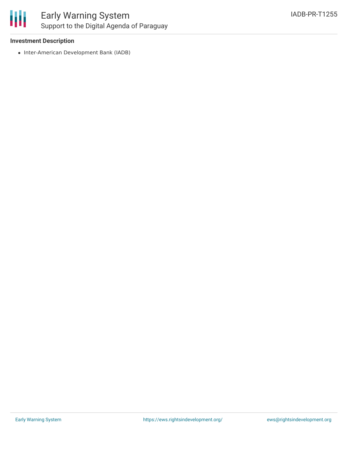

### **Investment Description**

• Inter-American Development Bank (IADB)